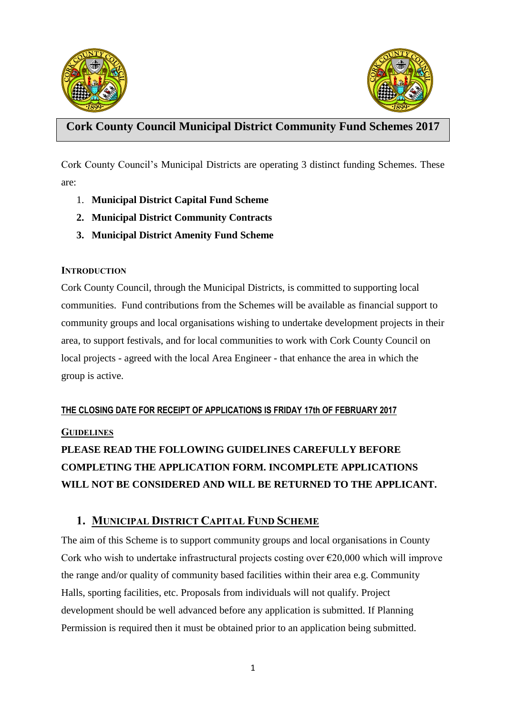



# **Cork County Council Municipal District Community Fund Schemes 2017**

Cork County Council's Municipal Districts are operating 3 distinct funding Schemes. These are:

- 1. **Municipal District Capital Fund Scheme**
- **2. Municipal District Community Contracts**
- **3. Municipal District Amenity Fund Scheme**

# **INTRODUCTION**

Cork County Council, through the Municipal Districts, is committed to supporting local communities. Fund contributions from the Schemes will be available as financial support to community groups and local organisations wishing to undertake development projects in their area, to support festivals, and for local communities to work with Cork County Council on local projects - agreed with the local Area Engineer - that enhance the area in which the group is active.

# **THE CLOSING DATE FOR RECEIPT OF APPLICATIONS IS FRIDAY 17th OF FEBRUARY 2017**

### **GUIDELINES**

# **PLEASE READ THE FOLLOWING GUIDELINES CAREFULLY BEFORE COMPLETING THE APPLICATION FORM. INCOMPLETE APPLICATIONS WILL NOT BE CONSIDERED AND WILL BE RETURNED TO THE APPLICANT.**

# **1. MUNICIPAL DISTRICT CAPITAL FUND SCHEME**

The aim of this Scheme is to support community groups and local organisations in County Cork who wish to undertake infrastructural projects costing over  $\epsilon$ 20,000 which will improve the range and/or quality of community based facilities within their area e.g. Community Halls, sporting facilities, etc. Proposals from individuals will not qualify. Project development should be well advanced before any application is submitted. If Planning Permission is required then it must be obtained prior to an application being submitted.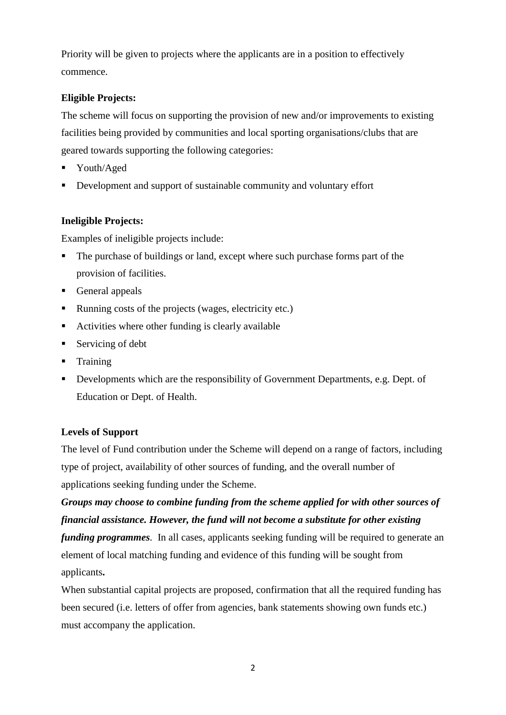Priority will be given to projects where the applicants are in a position to effectively commence.

# **Eligible Projects:**

The scheme will focus on supporting the provision of new and/or improvements to existing facilities being provided by communities and local sporting organisations/clubs that are geared towards supporting the following categories:

- Youth/Aged
- Development and support of sustainable community and voluntary effort

# **Ineligible Projects:**

Examples of ineligible projects include:

- The purchase of buildings or land, except where such purchase forms part of the provision of facilities.
- General appeals
- Running costs of the projects (wages, electricity etc.)
- Activities where other funding is clearly available
- Servicing of debt
- **Training**
- Developments which are the responsibility of Government Departments, e.g. Dept. of Education or Dept. of Health.

# **Levels of Support**

The level of Fund contribution under the Scheme will depend on a range of factors, including type of project, availability of other sources of funding, and the overall number of applications seeking funding under the Scheme.

*Groups may choose to combine funding from the scheme applied for with other sources of financial assistance. However, the fund will not become a substitute for other existing funding programmes*. In all cases, applicants seeking funding will be required to generate an element of local matching funding and evidence of this funding will be sought from applicants**.**

When substantial capital projects are proposed, confirmation that all the required funding has been secured (i.e. letters of offer from agencies, bank statements showing own funds etc.) must accompany the application.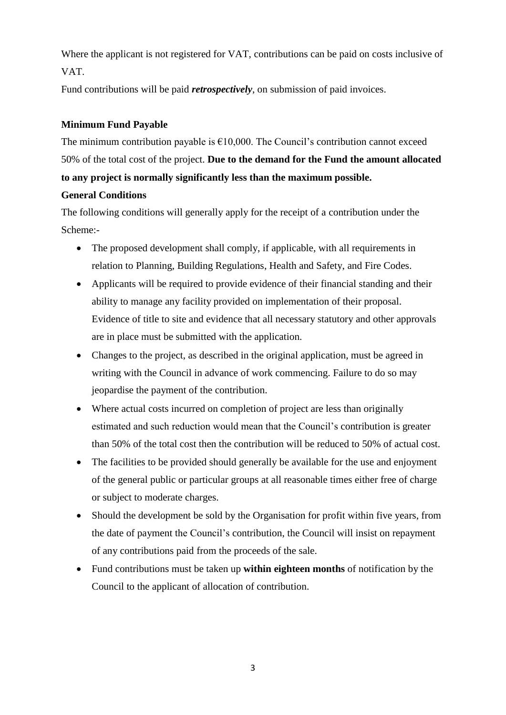Where the applicant is not registered for VAT, contributions can be paid on costs inclusive of VAT.

Fund contributions will be paid *retrospectively*, on submission of paid invoices.

# **Minimum Fund Payable**

The minimum contribution payable is  $\epsilon$ 10,000. The Council's contribution cannot exceed 50% of the total cost of the project. **Due to the demand for the Fund the amount allocated to any project is normally significantly less than the maximum possible.**

## **General Conditions**

The following conditions will generally apply for the receipt of a contribution under the Scheme:-

- The proposed development shall comply, if applicable, with all requirements in relation to Planning, Building Regulations, Health and Safety, and Fire Codes.
- Applicants will be required to provide evidence of their financial standing and their ability to manage any facility provided on implementation of their proposal. Evidence of title to site and evidence that all necessary statutory and other approvals are in place must be submitted with the application.
- Changes to the project, as described in the original application, must be agreed in writing with the Council in advance of work commencing. Failure to do so may jeopardise the payment of the contribution.
- Where actual costs incurred on completion of project are less than originally estimated and such reduction would mean that the Council's contribution is greater than 50% of the total cost then the contribution will be reduced to 50% of actual cost.
- The facilities to be provided should generally be available for the use and enjoyment of the general public or particular groups at all reasonable times either free of charge or subject to moderate charges.
- Should the development be sold by the Organisation for profit within five years, from the date of payment the Council's contribution, the Council will insist on repayment of any contributions paid from the proceeds of the sale.
- Fund contributions must be taken up **within eighteen months** of notification by the Council to the applicant of allocation of contribution.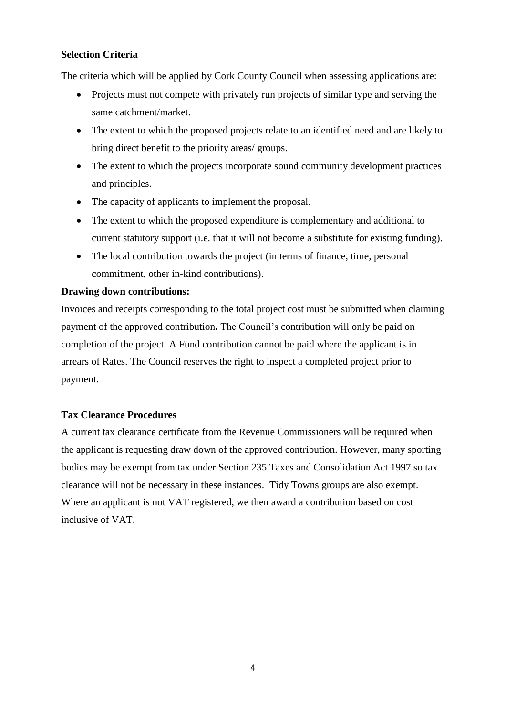### **Selection Criteria**

The criteria which will be applied by Cork County Council when assessing applications are:

- Projects must not compete with privately run projects of similar type and serving the same catchment/market.
- The extent to which the proposed projects relate to an identified need and are likely to bring direct benefit to the priority areas/ groups.
- The extent to which the projects incorporate sound community development practices and principles.
- The capacity of applicants to implement the proposal.
- The extent to which the proposed expenditure is complementary and additional to current statutory support (i.e. that it will not become a substitute for existing funding).
- The local contribution towards the project (in terms of finance, time, personal commitment, other in-kind contributions).

### **Drawing down contributions:**

Invoices and receipts corresponding to the total project cost must be submitted when claiming payment of the approved contribution**.** The Council's contribution will only be paid on completion of the project. A Fund contribution cannot be paid where the applicant is in arrears of Rates. The Council reserves the right to inspect a completed project prior to payment.

#### **Tax Clearance Procedures**

A current tax clearance certificate from the Revenue Commissioners will be required when the applicant is requesting draw down of the approved contribution. However, many sporting bodies may be exempt from tax under Section 235 Taxes and Consolidation Act 1997 so tax clearance will not be necessary in these instances. Tidy Towns groups are also exempt. Where an applicant is not VAT registered, we then award a contribution based on cost inclusive of VAT.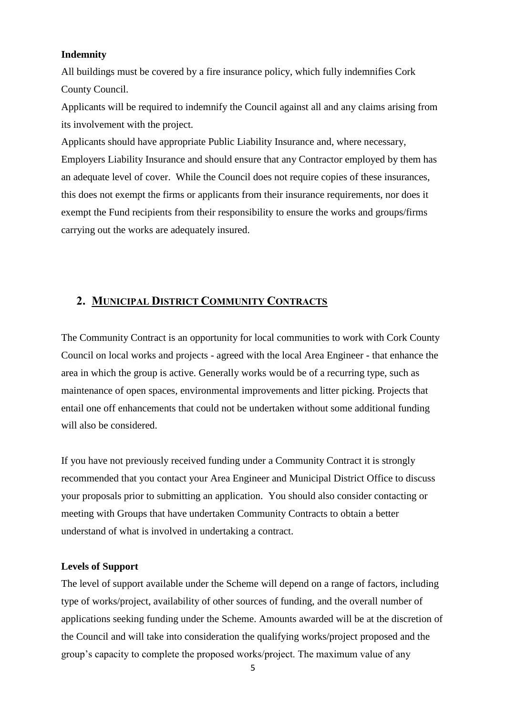#### **Indemnity**

All buildings must be covered by a fire insurance policy, which fully indemnifies Cork County Council.

Applicants will be required to indemnify the Council against all and any claims arising from its involvement with the project.

Applicants should have appropriate Public Liability Insurance and, where necessary, Employers Liability Insurance and should ensure that any Contractor employed by them has an adequate level of cover. While the Council does not require copies of these insurances, this does not exempt the firms or applicants from their insurance requirements, nor does it exempt the Fund recipients from their responsibility to ensure the works and groups/firms carrying out the works are adequately insured.

# **2. MUNICIPAL DISTRICT COMMUNITY CONTRACTS**

The Community Contract is an opportunity for local communities to work with Cork County Council on local works and projects - agreed with the local Area Engineer - that enhance the area in which the group is active. Generally works would be of a recurring type, such as maintenance of open spaces, environmental improvements and litter picking. Projects that entail one off enhancements that could not be undertaken without some additional funding will also be considered.

If you have not previously received funding under a Community Contract it is strongly recommended that you contact your Area Engineer and Municipal District Office to discuss your proposals prior to submitting an application. You should also consider contacting or meeting with Groups that have undertaken Community Contracts to obtain a better understand of what is involved in undertaking a contract.

#### **Levels of Support**

The level of support available under the Scheme will depend on a range of factors, including type of works/project, availability of other sources of funding, and the overall number of applications seeking funding under the Scheme. Amounts awarded will be at the discretion of the Council and will take into consideration the qualifying works/project proposed and the group's capacity to complete the proposed works/project. The maximum value of any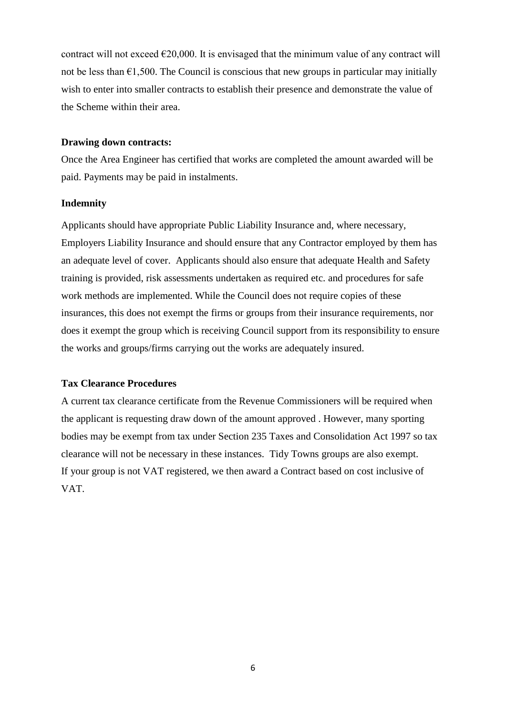contract will not exceed  $\epsilon$ 20,000. It is envisaged that the minimum value of any contract will not be less than  $\epsilon$ 1,500. The Council is conscious that new groups in particular may initially wish to enter into smaller contracts to establish their presence and demonstrate the value of the Scheme within their area.

#### **Drawing down contracts:**

Once the Area Engineer has certified that works are completed the amount awarded will be paid. Payments may be paid in instalments.

#### **Indemnity**

Applicants should have appropriate Public Liability Insurance and, where necessary, Employers Liability Insurance and should ensure that any Contractor employed by them has an adequate level of cover. Applicants should also ensure that adequate Health and Safety training is provided, risk assessments undertaken as required etc. and procedures for safe work methods are implemented. While the Council does not require copies of these insurances, this does not exempt the firms or groups from their insurance requirements, nor does it exempt the group which is receiving Council support from its responsibility to ensure the works and groups/firms carrying out the works are adequately insured.

#### **Tax Clearance Procedures**

A current tax clearance certificate from the Revenue Commissioners will be required when the applicant is requesting draw down of the amount approved . However, many sporting bodies may be exempt from tax under Section 235 Taxes and Consolidation Act 1997 so tax clearance will not be necessary in these instances. Tidy Towns groups are also exempt. If your group is not VAT registered, we then award a Contract based on cost inclusive of VAT.

6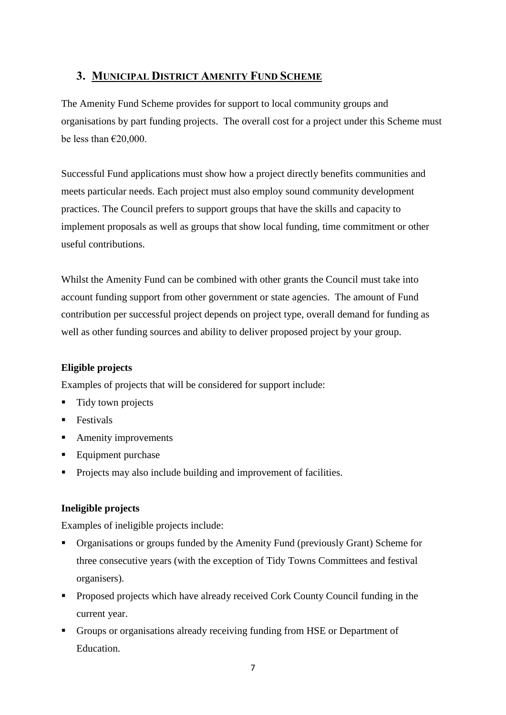# **3. MUNICIPAL DISTRICT AMENITY FUND SCHEME**

The Amenity Fund Scheme provides for support to local community groups and organisations by part funding projects. The overall cost for a project under this Scheme must be less than  $\epsilon$ 20,000.

Successful Fund applications must show how a project directly benefits communities and meets particular needs. Each project must also employ sound community development practices. The Council prefers to support groups that have the skills and capacity to implement proposals as well as groups that show local funding, time commitment or other useful contributions.

Whilst the Amenity Fund can be combined with other grants the Council must take into account funding support from other government or state agencies. The amount of Fund contribution per successful project depends on project type, overall demand for funding as well as other funding sources and ability to deliver proposed project by your group.

### **Eligible projects**

Examples of projects that will be considered for support include:

- Tidy town projects
- **Festivals**
- **Amenity improvements**
- Equipment purchase
- **Projects may also include building and improvement of facilities.**

### **Ineligible projects**

Examples of ineligible projects include:

- Organisations or groups funded by the Amenity Fund (previously Grant) Scheme for three consecutive years (with the exception of Tidy Towns Committees and festival organisers).
- **Proposed projects which have already received Cork County Council funding in the** current year.
- Groups or organisations already receiving funding from HSE or Department of Education.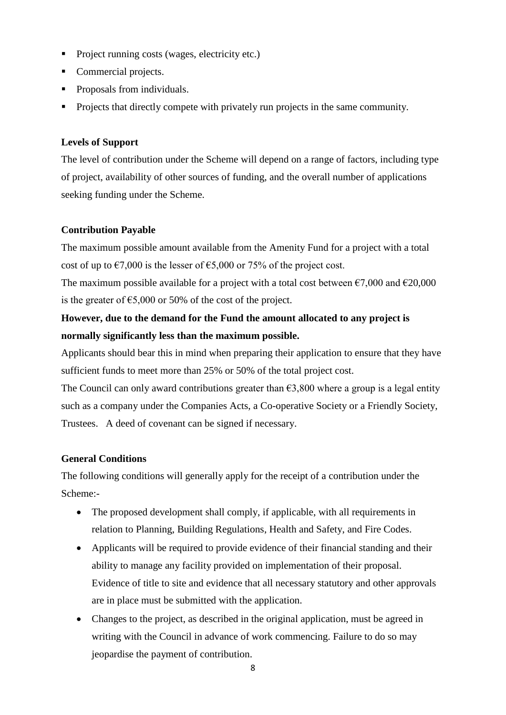- Project running costs (wages, electricity etc.)
- Commercial projects.
- Proposals from individuals.
- Projects that directly compete with privately run projects in the same community.

### **Levels of Support**

The level of contribution under the Scheme will depend on a range of factors, including type of project, availability of other sources of funding, and the overall number of applications seeking funding under the Scheme.

### **Contribution Payable**

The maximum possible amount available from the Amenity Fund for a project with a total cost of up to  $\epsilon$ 7,000 is the lesser of  $\epsilon$ 5,000 or 75% of the project cost.

The maximum possible available for a project with a total cost between  $\epsilon$ 7,000 and  $\epsilon$ 20,000 is the greater of  $65,000$  or 50% of the cost of the project.

# **However, due to the demand for the Fund the amount allocated to any project is normally significantly less than the maximum possible.**

Applicants should bear this in mind when preparing their application to ensure that they have sufficient funds to meet more than 25% or 50% of the total project cost.

The Council can only award contributions greater than  $\epsilon$ 3,800 where a group is a legal entity such as a company under the Companies Acts, a Co-operative Society or a Friendly Society, Trustees. A deed of covenant can be signed if necessary.

# **General Conditions**

The following conditions will generally apply for the receipt of a contribution under the Scheme:-

- The proposed development shall comply, if applicable, with all requirements in relation to Planning, Building Regulations, Health and Safety, and Fire Codes.
- Applicants will be required to provide evidence of their financial standing and their ability to manage any facility provided on implementation of their proposal. Evidence of title to site and evidence that all necessary statutory and other approvals are in place must be submitted with the application.
- Changes to the project, as described in the original application, must be agreed in writing with the Council in advance of work commencing. Failure to do so may jeopardise the payment of contribution.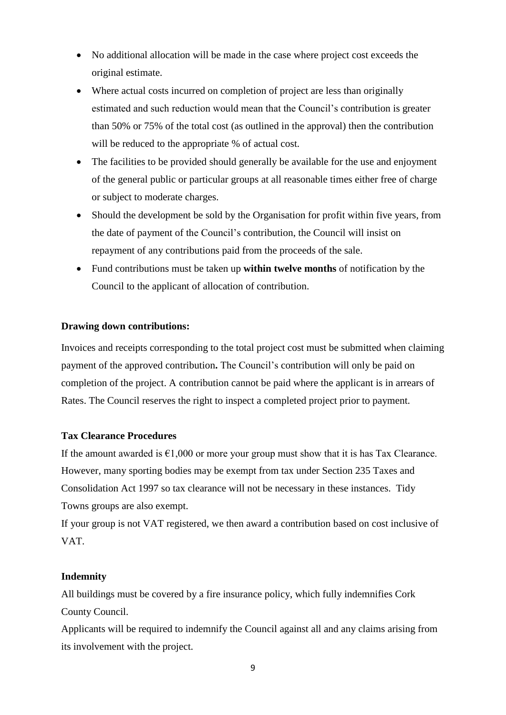- No additional allocation will be made in the case where project cost exceeds the original estimate.
- Where actual costs incurred on completion of project are less than originally estimated and such reduction would mean that the Council's contribution is greater than 50% or 75% of the total cost (as outlined in the approval) then the contribution will be reduced to the appropriate % of actual cost.
- The facilities to be provided should generally be available for the use and enjoyment of the general public or particular groups at all reasonable times either free of charge or subject to moderate charges.
- Should the development be sold by the Organisation for profit within five years, from the date of payment of the Council's contribution, the Council will insist on repayment of any contributions paid from the proceeds of the sale.
- Fund contributions must be taken up **within twelve months** of notification by the Council to the applicant of allocation of contribution.

### **Drawing down contributions:**

Invoices and receipts corresponding to the total project cost must be submitted when claiming payment of the approved contribution**.** The Council's contribution will only be paid on completion of the project. A contribution cannot be paid where the applicant is in arrears of Rates. The Council reserves the right to inspect a completed project prior to payment.

### **Tax Clearance Procedures**

If the amount awarded is  $\epsilon$ 1,000 or more your group must show that it is has Tax Clearance. However, many sporting bodies may be exempt from tax under Section 235 Taxes and Consolidation Act 1997 so tax clearance will not be necessary in these instances. Tidy Towns groups are also exempt.

If your group is not VAT registered, we then award a contribution based on cost inclusive of VAT.

### **Indemnity**

All buildings must be covered by a fire insurance policy, which fully indemnifies Cork County Council.

Applicants will be required to indemnify the Council against all and any claims arising from its involvement with the project.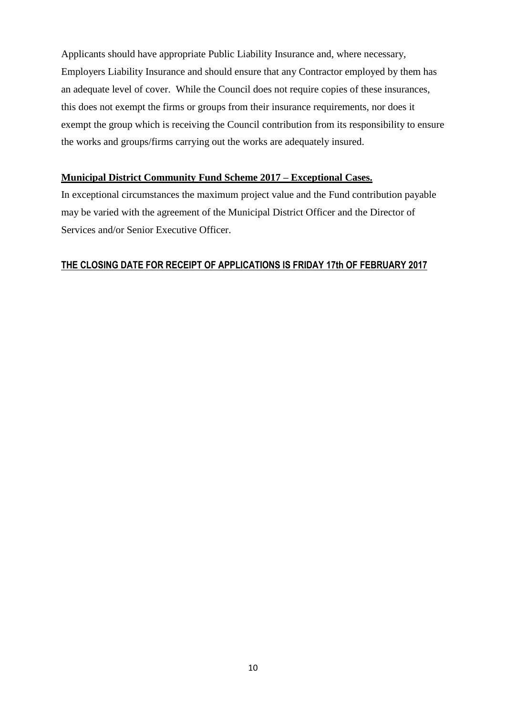Applicants should have appropriate Public Liability Insurance and, where necessary, Employers Liability Insurance and should ensure that any Contractor employed by them has an adequate level of cover. While the Council does not require copies of these insurances, this does not exempt the firms or groups from their insurance requirements, nor does it exempt the group which is receiving the Council contribution from its responsibility to ensure the works and groups/firms carrying out the works are adequately insured.

#### **Municipal District Community Fund Scheme 2017 – Exceptional Cases.**

In exceptional circumstances the maximum project value and the Fund contribution payable may be varied with the agreement of the Municipal District Officer and the Director of Services and/or Senior Executive Officer.

# **THE CLOSING DATE FOR RECEIPT OF APPLICATIONS IS FRIDAY 17th OF FEBRUARY 2017**